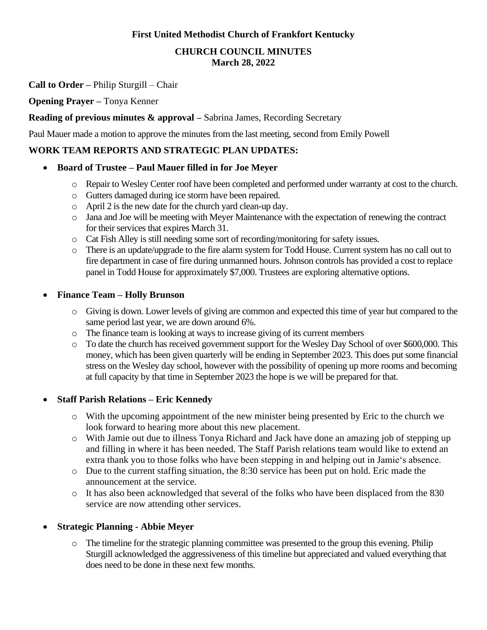## **First United Methodist Church of Frankfort Kentucky**

#### **CHURCH COUNCIL MINUTES March 28, 2022**

### **Call to Order –** Philip Sturgill – Chair

### **Opening Prayer –** Tonya Kenner

### **Reading of previous minutes & approval –** Sabrina James, Recording Secretary

Paul Mauer made a motion to approve the minutes from the last meeting, second from Emily Powell

## **WORK TEAM REPORTS AND STRATEGIC PLAN UPDATES:**

### • **Board of Trustee – Paul Mauer filled in for Joe Meyer**

- o Repair to Wesley Center roof have been completed and performed under warranty at cost to the church.
- o Gutters damaged during ice storm have been repaired.
- o April 2 is the new date for the church yard clean-up day.
- o Jana and Joe will be meeting with Meyer Maintenance with the expectation of renewing the contract for their services that expires March 31.
- o Cat Fish Alley is still needing some sort of recording/monitoring for safety issues.
- o There is an update/upgrade to the fire alarm system for Todd House. Current system has no call out to fire department in case of fire during unmanned hours. Johnson controls has provided a cost to replace panel in Todd House for approximately \$7,000. Trustees are exploring alternative options.

### • **Finance Team – Holly Brunson**

- o Giving is down. Lower levels of giving are common and expected this time of year but compared to the same period last year, we are down around 6%.
- o The finance team is looking at ways to increase giving of its current members
- o To date the church has received government support for the Wesley Day School of over \$600,000. This money, which has been given quarterly will be ending in September 2023. This does put some financial stress on the Wesley day school, however with the possibility of opening up more rooms and becoming at full capacity by that time in September 2023 the hope is we will be prepared for that.

# • **Staff Parish Relations – Eric Kennedy**

- o With the upcoming appointment of the new minister being presented by Eric to the church we look forward to hearing more about this new placement.
- o With Jamie out due to illness Tonya Richard and Jack have done an amazing job of stepping up and filling in where it has been needed. The Staff Parish relations team would like to extend an extra thank you to those folks who have been stepping in and helping out in Jamie's absence.
- o Due to the current staffing situation, the 8:30 service has been put on hold. Eric made the announcement at the service.
- o It has also been acknowledged that several of the folks who have been displaced from the 830 service are now attending other services.

### • **Strategic Planning - Abbie Meyer**

 $\circ$  The timeline for the strategic planning committee was presented to the group this evening. Philip Sturgill acknowledged the aggressiveness of this timeline but appreciated and valued everything that does need to be done in these next few months.